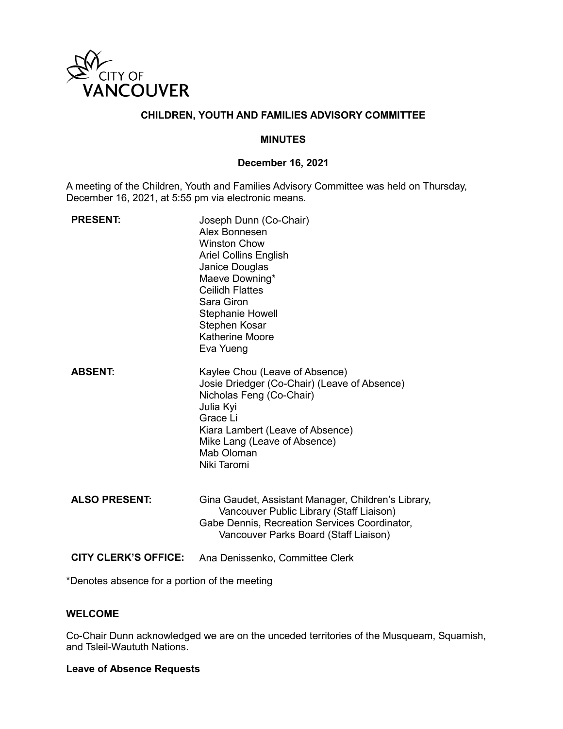

# **CHILDREN, YOUTH AND FAMILIES ADVISORY COMMITTEE**

#### **MINUTES**

#### **December 16, 2021**

A meeting of the Children, Youth and Families Advisory Committee was held on Thursday, December 16, 2021, at 5:55 pm via electronic means.

| <b>PRESENT:</b>             | Joseph Dunn (Co-Chair)<br>Alex Bonnesen<br><b>Winston Chow</b><br><b>Ariel Collins English</b><br>Janice Douglas<br>Maeve Downing*<br><b>Ceilidh Flattes</b><br>Sara Giron<br><b>Stephanie Howell</b><br>Stephen Kosar<br><b>Katherine Moore</b><br>Eva Yueng |
|-----------------------------|---------------------------------------------------------------------------------------------------------------------------------------------------------------------------------------------------------------------------------------------------------------|
| <b>ABSENT:</b>              | Kaylee Chou (Leave of Absence)<br>Josie Driedger (Co-Chair) (Leave of Absence)<br>Nicholas Feng (Co-Chair)<br>Julia Kyi<br>Grace Li<br>Kiara Lambert (Leave of Absence)<br>Mike Lang (Leave of Absence)<br>Mab Oloman<br>Niki Taromi                          |
| <b>ALSO PRESENT:</b>        | Gina Gaudet, Assistant Manager, Children's Library,<br>Vancouver Public Library (Staff Liaison)<br>Gabe Dennis, Recreation Services Coordinator,<br>Vancouver Parks Board (Staff Liaison)                                                                     |
| <b>CITY CLERK'S OFFICE:</b> | Ana Denissenko, Committee Clerk                                                                                                                                                                                                                               |

\*Denotes absence for a portion of the meeting

## **WELCOME**

Co-Chair Dunn acknowledged we are on the unceded territories of the Musqueam, Squamish, and Tsleil-Waututh Nations.

#### **Leave of Absence Requests**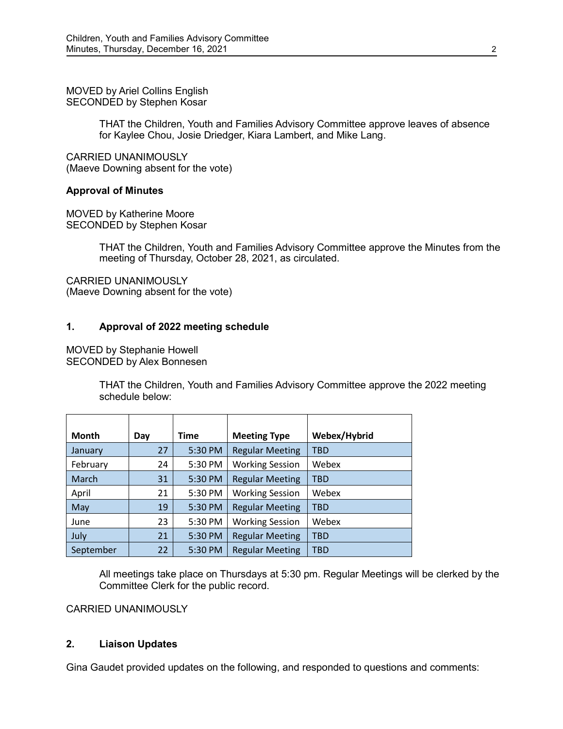MOVED by Ariel Collins English SECONDED by Stephen Kosar

> THAT the Children, Youth and Families Advisory Committee approve leaves of absence for Kaylee Chou, Josie Driedger, Kiara Lambert, and Mike Lang.

CARRIED UNANIMOUSLY (Maeve Downing absent for the vote)

#### **Approval of Minutes**

MOVED by Katherine Moore SECONDED by Stephen Kosar

> THAT the Children, Youth and Families Advisory Committee approve the Minutes from the meeting of Thursday, October 28, 2021, as circulated.

CARRIED UNANIMOUSLY (Maeve Downing absent for the vote)

## **1. Approval of 2022 meeting schedule**

MOVED by Stephanie Howell SECONDED by Alex Bonnesen

> THAT the Children, Youth and Families Advisory Committee approve the 2022 meeting schedule below:

| <b>Month</b> | Day | Time    | <b>Meeting Type</b>    | Webex/Hybrid |
|--------------|-----|---------|------------------------|--------------|
|              |     |         |                        |              |
| January      | 27  | 5:30 PM | <b>Regular Meeting</b> | <b>TBD</b>   |
| February     | 24  | 5:30 PM | <b>Working Session</b> | Webex        |
| March        | 31  | 5:30 PM | <b>Regular Meeting</b> | <b>TBD</b>   |
| April        | 21  | 5:30 PM | <b>Working Session</b> | Webex        |
| May          | 19  | 5:30 PM | <b>Regular Meeting</b> | TBD          |
| June         | 23  | 5:30 PM | <b>Working Session</b> | Webex        |
| July         | 21  | 5:30 PM | <b>Regular Meeting</b> | <b>TBD</b>   |
| September    | 22  | 5:30 PM | <b>Regular Meeting</b> | TBD          |

All meetings take place on Thursdays at 5:30 pm. Regular Meetings will be clerked by the Committee Clerk for the public record.

CARRIED UNANIMOUSLY

#### **2. Liaison Updates**

Gina Gaudet provided updates on the following, and responded to questions and comments: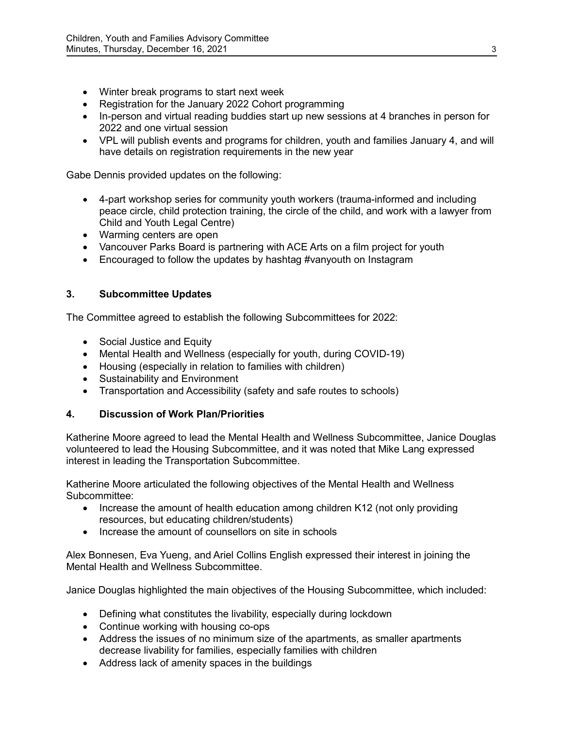- Winter break programs to start next week
- Registration for the January 2022 Cohort programming
- In-person and virtual reading buddies start up new sessions at 4 branches in person for 2022 and one virtual session
- VPL will publish events and programs for children, youth and families January 4, and will have details on registration requirements in the new year

Gabe Dennis provided updates on the following:

- 4-part workshop series for community youth workers (trauma-informed and including peace circle, child protection training, the circle of the child, and work with a lawyer from Child and Youth Legal Centre)
- Warming centers are open
- Vancouver Parks Board is partnering with ACE Arts on a film project for youth
- Encouraged to follow the updates by hashtag #vanyouth on Instagram

## **3. Subcommittee Updates**

The Committee agreed to establish the following Subcommittees for 2022:

- Social Justice and Equity
- Mental Health and Wellness (especially for youth, during COVID-19)
- Housing (especially in relation to families with children)
- Sustainability and Environment
- Transportation and Accessibility (safety and safe routes to schools)

## **4. Discussion of Work Plan/Priorities**

Katherine Moore agreed to lead the Mental Health and Wellness Subcommittee, Janice Douglas volunteered to lead the Housing Subcommittee, and it was noted that Mike Lang expressed interest in leading the Transportation Subcommittee.

Katherine Moore articulated the following objectives of the Mental Health and Wellness Subcommittee:

- Increase the amount of health education among children K12 (not only providing resources, but educating children/students)
- Increase the amount of counsellors on site in schools

Alex Bonnesen, Eva Yueng, and Ariel Collins English expressed their interest in joining the Mental Health and Wellness Subcommittee.

Janice Douglas highlighted the main objectives of the Housing Subcommittee, which included:

- Defining what constitutes the livability, especially during lockdown
- Continue working with housing co-ops
- Address the issues of no minimum size of the apartments, as smaller apartments decrease livability for families, especially families with children
- Address lack of amenity spaces in the buildings